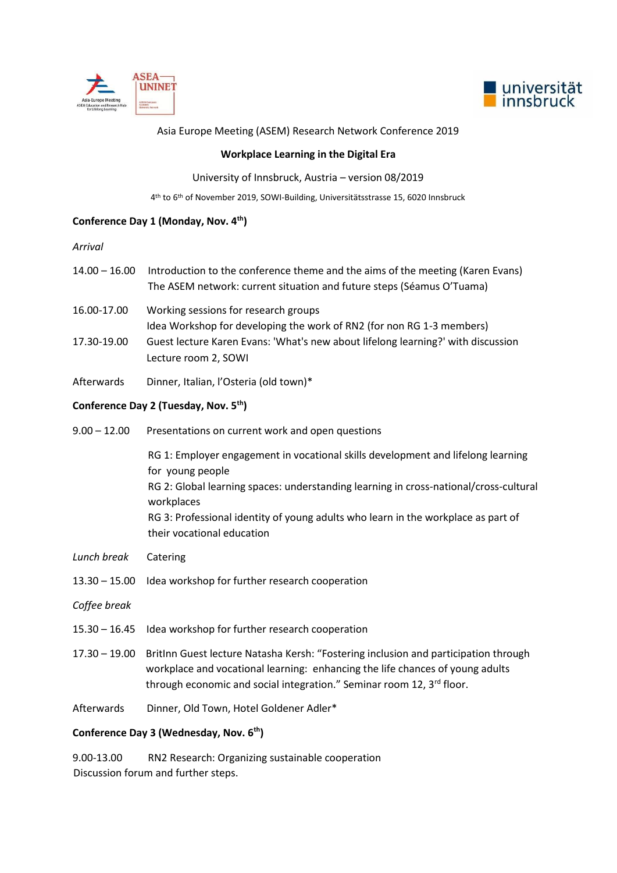



### Asia Europe Meeting (ASEM) Research Network Conference 2019

## **Workplace Learning in the Digital Era**

## University of Innsbruck, Austria – version 08/2019

4 th to 6th of November 2019, SOWI-Building, Universitätsstrasse 15, 6020 Innsbruck

# **Conference Day 1 (Monday, Nov. 4th)**

#### *Arrival*

- 14.00 16.00 Introduction to the conference theme and the aims of the meeting (Karen Evans) The ASEM network: current situation and future steps (Séamus O'Tuama)
- 16.00-17.00 Working sessions for research groups Idea Workshop for developing the work of RN2 (for non RG 1-3 members) 17.30-19.00 Guest lecture Karen Evans: 'What's new about lifelong learning?' with discussion Lecture room 2, SOWI
- Afterwards Dinner, Italian, l'Osteria (old town)\*

## **Conference Day 2 (Tuesday, Nov. 5th)**

9.00 – 12.00 Presentations on current work and open questions

RG 1: Employer engagement in vocational skills development and lifelong learning for young people RG 2: Global learning spaces: understanding learning in cross-national/cross-cultural workplaces RG 3: Professional identity of young adults who learn in the workplace as part of their vocational education

- *Lunch break* Catering
- 13.30 15.00 Idea workshop for further research cooperation

*Coffee break* 

- 15.30 16.45 Idea workshop for further research cooperation
- 17.30 19.00 BritInn Guest lecture Natasha Kersh: "Fostering inclusion and participation through workplace and vocational learning: enhancing the life chances of young adults through economic and social integration." Seminar room 12,  $3<sup>rd</sup>$  floor.
- Afterwards Dinner, Old Town, Hotel Goldener Adler\*

## **Conference Day 3 (Wednesday, Nov. 6th)**

9.00-13.00 RN2 Research: Organizing sustainable cooperation Discussion forum and further steps.